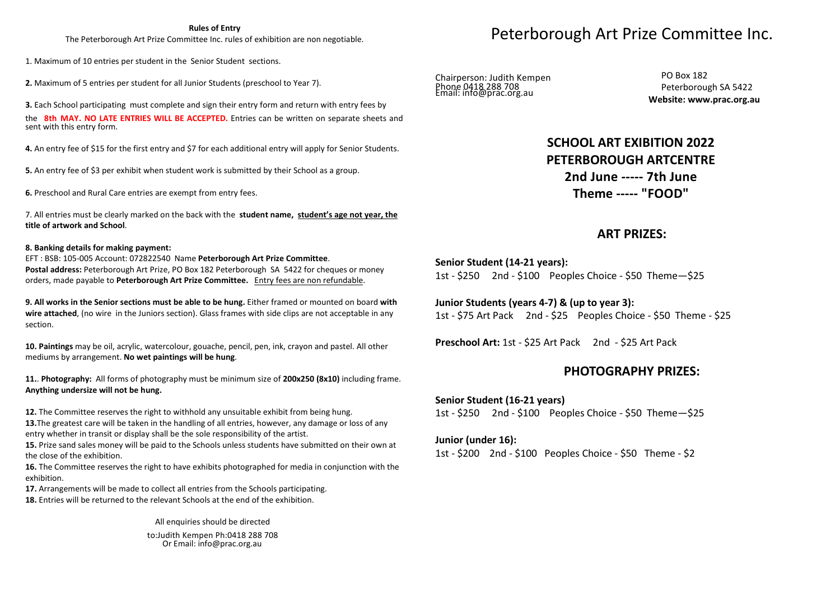#### **Rules of Entry**

The Peterborough Art Prize Committee Inc. rules of exhibition are non negotiable.

1. Maximum of <sup>10</sup> entries per student in the Senior Student sections.

**2.** Maximum of <sup>5</sup> entries per student for all Junior Students (preschool to Year 7).

**3.** Each School participating must complete and sign their entry form and return with entry fees by the **8th MAY. NO LATE ENTRIES WILL BE ACCEPTED.** Entries can be written on separate sheets and sent with this entry form.

**4.** An entry fee of \$15 for the first entry and \$7 for each additional entry will apply for Senior Students.

**5.** An entry fee of \$3 per exhibit when student work is submitted by their School as <sup>a</sup> group.

**6.** Preschool and Rural Care entries are exempt from entry fees.

7. All entries must be clearly marked on the back with the **student name, student's age not year, the title of artwork and School**.

#### **8. Banking details for making payment:**

EFT : BSB: 105-005 Account: <sup>072822540</sup> Name **Peterborough Art Prize Committee**. **Postal address:** Peterborough Art Prize, PO Box <sup>182</sup> Peterborough SA <sup>5422</sup> for cheques or money orders, made payable to **Peterborough Art Prize Committee.** Entry fees are non refundable.

**9. All works in the Senior sections must be able to be hung.** Either framed or mounted on board **with wire attached**, (no wire in the Juniors section). Glass frames with side clips are not acceptable in any section.

**10. Paintings** may be oil, acrylic, watercolour, gouache, pencil, pen, ink, crayon and pastel. All other mediums by arrangement. **No wet paintings will be hung**.

**11.**. **Photography:** All forms of photography must be minimum size of **200x250 (8x10)** including frame. **Anything undersize will not be hung.**

**12.** The Committee reserves the right to withhold any unsuitable exhibit from being hung.

**13.**The greatest care will be taken in the handling of all entries, however, any damage or loss of any entry whether in transit or display shall be the sole responsibility of the artist.

**15.** Prize sand sales money will be paid to the Schools unless students have submitted on their own at the close of the exhibition.

**16.** The Committee reserves the right to have exhibits photographed for media in conjunction with the exhibition.

**17.** Arrangements will be made to collect all entries from the Schools participating. **18.** Entries will be returned to the relevant Schools at the end of the exhibition.

> All enquiries should be directed to:Judith Kempen Ph:0418 <sup>288</sup> <sup>708</sup> Or Email: info@prac.org.au

# Peterborough Art Prize Committee Inc.

Chairperson: Judith Kempen<br>Phane 0418 288 708 Judith Kempen

Phone 0418 288 708<br>Email: info@prac.org.au Peterborough SA 5422 Peterborough SA**Website: www.prac.org.au**

# **SCHOOL ART EXIBITION <sup>202</sup><sup>2</sup> PETERBOROUGH ARTCENTRE 2nd June ----- 7th June Theme ----- "FOOD"**

## **ART PRIZES:**

**Senior Student (14-21 years):** 1st - \$250 2nd - \$100 Peoples Choice - \$50 Theme—\$25

**Junior Students (years 4-7) & (up to year 3):** 1st - \$75 Art Pack 2nd - \$25 Peoples Choice - \$50 Theme - \$25

**Preschool Art:** 1st - \$25 Art Pack 2nd - \$25 Art Pack

# **PHOTOGRAPHY PRIZES:**

### **Senior Student (16-21 years)**

1st - \$250 2nd - \$100 Peoples Choice - \$50 Theme—\$25

#### **Junior (under 16):**

1st - \$200 2nd - \$100 Peoples Choice - \$50 Theme - \$2